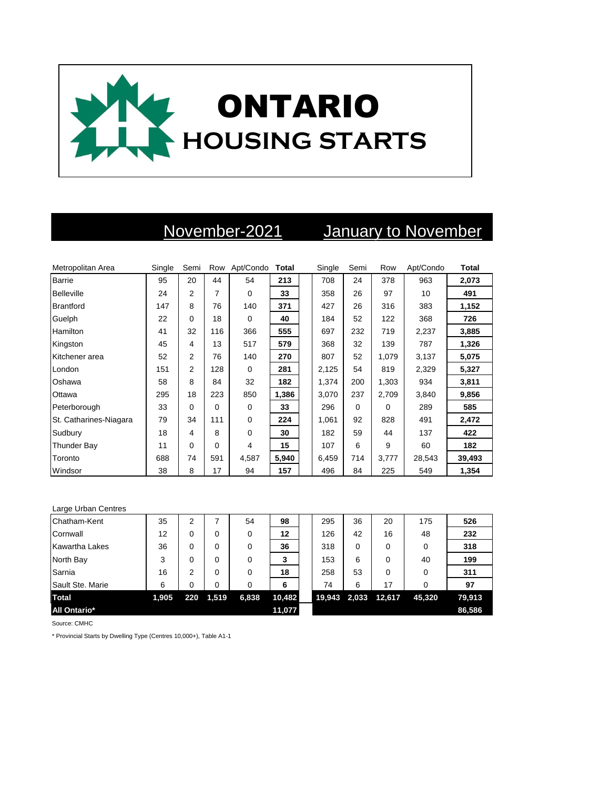

## November-2021 January to November

| Metropolitan Area      | Single | Semi           | Row         | Apt/Condo Total |       | Single | Semi | Row      | Apt/Condo | Total  |
|------------------------|--------|----------------|-------------|-----------------|-------|--------|------|----------|-----------|--------|
| <b>Barrie</b>          | 95     | 20             | 44          | 54              | 213   | 708    | 24   | 378      | 963       | 2,073  |
| <b>Belleville</b>      | 24     | 2              | 7           | $\Omega$        | 33    | 358    | 26   | 97       | 10        | 491    |
| <b>Brantford</b>       | 147    | 8              | 76          | 140             | 371   | 427    | 26   | 316      | 383       | 1,152  |
| Guelph                 | 22     | $\Omega$       | 18          | $\Omega$        | 40    | 184    | 52   | 122      | 368       | 726    |
| <b>Hamilton</b>        | 41     | 32             | 116         | 366             | 555   | 697    | 232  | 719      | 2,237     | 3,885  |
| Kingston               | 45     | 4              | 13          | 517             | 579   | 368    | 32   | 139      | 787       | 1,326  |
| Kitchener area         | 52     | $\overline{2}$ | 76          | 140             | 270   | 807    | 52   | 1,079    | 3,137     | 5,075  |
| London                 | 151    | 2              | 128         | $\mathbf 0$     | 281   | 2,125  | 54   | 819      | 2,329     | 5,327  |
| Oshawa                 | 58     | 8              | 84          | 32              | 182   | 1,374  | 200  | 1,303    | 934       | 3,811  |
| Ottawa                 | 295    | 18             | 223         | 850             | 1,386 | 3,070  | 237  | 2,709    | 3,840     | 9,856  |
| Peterborough           | 33     | 0              | $\Omega$    | $\Omega$        | 33    | 296    | 0    | $\Omega$ | 289       | 585    |
| St. Catharines-Niagara | 79     | 34             | 111         | $\mathbf 0$     | 224   | 1,061  | 92   | 828      | 491       | 2,472  |
| Sudbury                | 18     | 4              | 8           | $\mathbf 0$     | 30    | 182    | 59   | 44       | 137       | 422    |
| <b>Thunder Bay</b>     | 11     | 0              | $\mathbf 0$ | 4               | 15    | 107    | 6    | 9        | 60        | 182    |
| Toronto                | 688    | 74             | 591         | 4,587           | 5,940 | 6,459  | 714  | 3,777    | 28,543    | 39,493 |
| Windsor                | 38     | 8              | 17          | 94              | 157   | 496    | 84   | 225      | 549       | 1,354  |

| Large Urban Centres |       |     |       |          |        |        |       |        |        |        |
|---------------------|-------|-----|-------|----------|--------|--------|-------|--------|--------|--------|
| Chatham-Kent        | 35    | 2   |       | 54       | 98     | 295    | 36    | 20     | 175    | 526    |
| Cornwall            | 12    | 0   | 0     | 0        | 12     | 126    | 42    | 16     | 48     | 232    |
| Kawartha Lakes      | 36    | 0   | 0     | 0        | 36     | 318    | 0     | 0      | 0      | 318    |
| North Bay           | 3     | 0   | 0     | 0        | 3      | 153    | 6     | 0      | 40     | 199    |
| Sarnia              | 16    | 2   | 0     | $\Omega$ | 18     | 258    | 53    | 0      | 0      | 311    |
| Sault Ste. Marie    | 6     | 0   | 0     | 0        | 6      | 74     | 6     | 17     | 0      | 97     |
| <b>Total</b>        | 1,905 | 220 | 1,519 | 6,838    | 10,482 | 19,943 | 2,033 | 12,617 | 45,320 | 79,913 |
| All Ontario*        |       |     |       |          | 11,077 |        |       |        |        | 86,586 |

Source: CMHC

\* Provincial Starts by Dwelling Type (Centres 10,000+), Table A1-1